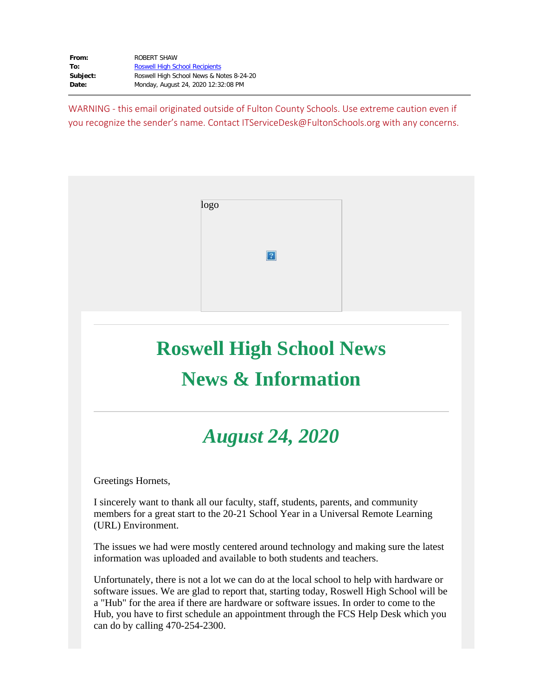| From:    | ROBERT SHAW                              |
|----------|------------------------------------------|
| To:      | <b>Roswell High School Recipients</b>    |
| Subject: | Roswell High School News & Notes 8-24-20 |
| Date:    | Monday, August 24, 2020 12:32:08 PM      |

WARNING - this email originated outside of Fulton County Schools. Use extreme caution even if you recognize the sender's name. Contact ITServiceDesk@FultonSchools.org with any concerns.



# **Roswell High School News News & Information**

# *August 24, 2020*

Greetings Hornets,

I sincerely want to thank all our faculty, staff, students, parents, and community members for a great start to the 20-21 School Year in a Universal Remote Learning (URL) Environment.

The issues we had were mostly centered around technology and making sure the latest information was uploaded and available to both students and teachers.

Unfortunately, there is not a lot we can do at the local school to help with hardware or software issues. We are glad to report that, starting today, Roswell High School will be a "Hub" for the area if there are hardware or software issues. In order to come to the Hub, you have to first schedule an appointment through the FCS Help Desk which you can do by calling 470-254-2300.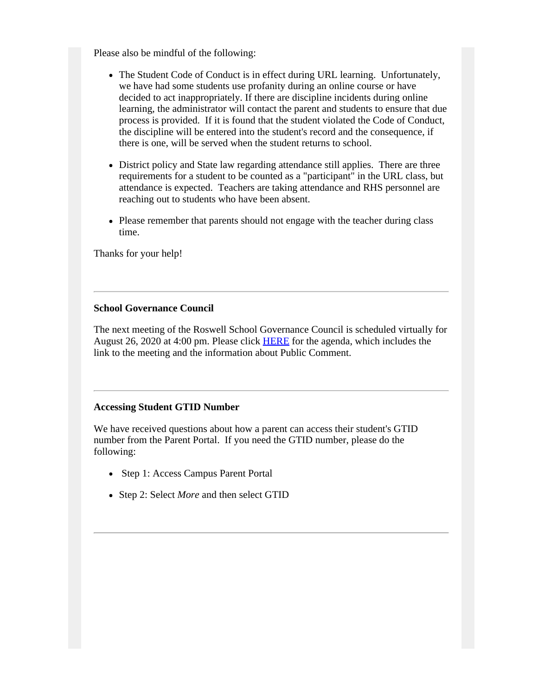Please also be mindful of the following:

- The Student Code of Conduct is in effect during URL learning. Unfortunately, we have had some students use profanity during an online course or have decided to act inappropriately. If there are discipline incidents during online learning, the administrator will contact the parent and students to ensure that due process is provided. If it is found that the student violated the Code of Conduct, the discipline will be entered into the student's record and the consequence, if there is one, will be served when the student returns to school.
- District policy and State law regarding attendance still applies. There are three requirements for a student to be counted as a "participant" in the URL class, but attendance is expected. Teachers are taking attendance and RHS personnel are reaching out to students who have been absent.
- Please remember that parents should not engage with the teacher during class time.

Thanks for your help!

#### **School Governance Council**

The next meeting of the Roswell School Governance Council is scheduled virtually for August 26, 2020 at 4:00 pm. Please click [HERE](https://www.fultonschools.org/site/handlers/filedownload.ashx?moduleinstanceid=35089&dataid=78054&FileName=RHS-Agenda-82620.pdf) for the agenda, which includes the link to the meeting and the information about Public Comment.

#### **Accessing Student GTID Number**

We have received questions about how a parent can access their student's GTID number from the Parent Portal. If you need the GTID number, please do the following:

- Step 1: Access Campus Parent Portal
- Step 2: Select *More* and then select GTID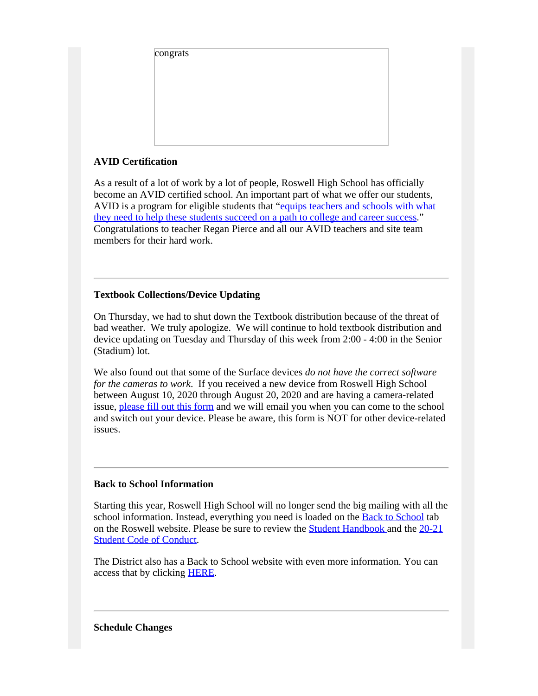| congrats |  |  |
|----------|--|--|
|          |  |  |
|          |  |  |
|          |  |  |
|          |  |  |
|          |  |  |
|          |  |  |
|          |  |  |
|          |  |  |
|          |  |  |
|          |  |  |
|          |  |  |
|          |  |  |
|          |  |  |
|          |  |  |
|          |  |  |
|          |  |  |
|          |  |  |
|          |  |  |
|          |  |  |
|          |  |  |
|          |  |  |
|          |  |  |
|          |  |  |
|          |  |  |
|          |  |  |
|          |  |  |
|          |  |  |
|          |  |  |
|          |  |  |
|          |  |  |

# **AVID Certification**

As a result of a lot of work by a lot of people, Roswell High School has officially become an AVID certified school. An important part of what we offer our students, AVID is a program for eligible students that "equips [teachers](https://nam03.safelinks.protection.outlook.com/?url=https%3A%2F%2Fwww.avid.org%2Fwhat-avid-is&data=02%7C01%7Cshawr%40fultonschools.org%7Cbf7b11ba1909432b2f8608d8484b3d6b%7C0cdcb19881694b70ba9fda7e3ba700c2%7C1%7C0%7C637338835274569264&sdata=%2FZl8QSRxYwpnKBWZmorpGPxZLdELp%2B1dJbN0VblYNs8%3D&reserved=0) and schools with what they need to help these [students](https://nam03.safelinks.protection.outlook.com/?url=https%3A%2F%2Fwww.avid.org%2Fwhat-avid-is&data=02%7C01%7Cshawr%40fultonschools.org%7Cbf7b11ba1909432b2f8608d8484b3d6b%7C0cdcb19881694b70ba9fda7e3ba700c2%7C1%7C0%7C637338835274569264&sdata=%2FZl8QSRxYwpnKBWZmorpGPxZLdELp%2B1dJbN0VblYNs8%3D&reserved=0) succeed on a path to college and career success." Congratulations to teacher Regan Pierce and all our AVID teachers and site team members for their hard work.

# **Textbook Collections/Device Updating**

On Thursday, we had to shut down the Textbook distribution because of the threat of bad weather. We truly apologize. We will continue to hold textbook distribution and device updating on Tuesday and Thursday of this week from 2:00 - 4:00 in the Senior (Stadium) lot.

We also found out that some of the Surface devices *do not have the correct software for the cameras to work*. If you received a new device from Roswell High School between August 10, 2020 through August 20, 2020 and are having a camera-related issue, [please](https://forms.office.com/Pages/ResponsePage.aspx?id=mLHcDGmBcEu6n9p-O6cAwp9XhOTcTdNJhukK5XhEuqZUNVhaRENITFI3VTBBUEo3UVlYWk9KR0ZVQy4u) fill out this form and we will email you when you can come to the school and switch out your device. Please be aware, this form is NOT for other device-related issues.

# **Back to School Information**

Starting this year, Roswell High School will no longer send the big mailing with all the school information. Instead, everything you need is loaded on the **Back to [School](https://www.fultonschools.org/domain/7450)** tab on the Roswell website. Please be sure to review the Student [Handbook](https://www.fultonschools.org/cms/lib/GA50000114/Centricity/Domain/5834/RHSstudentHandbook2020-21FINAL.pdf) and the [20-21](https://www.fultonschools.org/site/handlers/filedownload.ashx?moduleinstanceid=8472&dataid=69978&FileName=2020-2021CodeofConduct_English.pdf) Student Code of [Conduct.](https://www.fultonschools.org/site/handlers/filedownload.ashx?moduleinstanceid=8472&dataid=69978&FileName=2020-2021CodeofConduct_English.pdf)

The District also has a Back to School website with even more information. You can access that by clicking [HERE](https://www.fultonschools.org/backtoschool).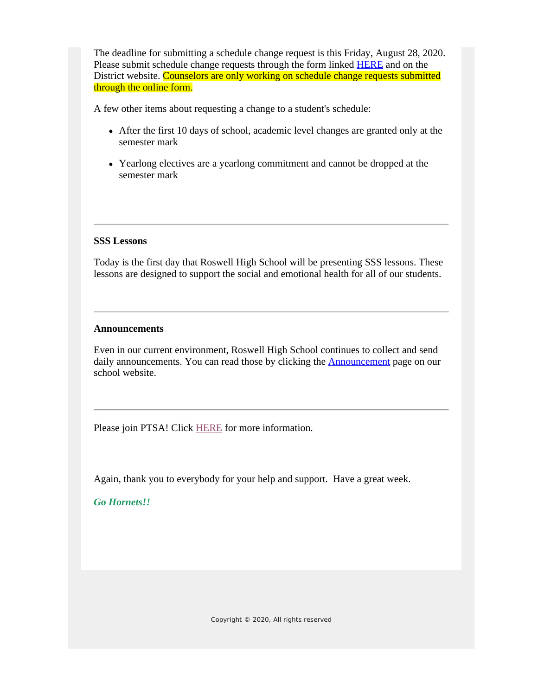The deadline for submitting a schedule change request is this Friday, August 28, 2020. Please submit schedule change requests through the form linked [HERE](https://www.fultonschools.org/Page/20149) and on the District website. Counselors are only working on schedule change requests submitted through the online form.

A few other items about requesting a change to a student's schedule:

- After the first 10 days of school, academic level changes are granted only at the semester mark
- Yearlong electives are a yearlong commitment and cannot be dropped at the semester mark

#### **SSS Lessons**

Today is the first day that Roswell High School will be presenting SSS lessons. These lessons are designed to support the social and emotional health for all of our students.

#### **Announcements**

Even in our current environment, Roswell High School continues to collect and send daily announcements. You can read those by clicking the **[Announcement](https://www.fultonschools.org/Page/16758)** page on our school website.

Please join PTSA! Click **HERE** for more information.

Again, thank you to everybody for your help and support. Have a great week.

*Go Hornets!!*

*Copyright © 2020, All rights reserved*